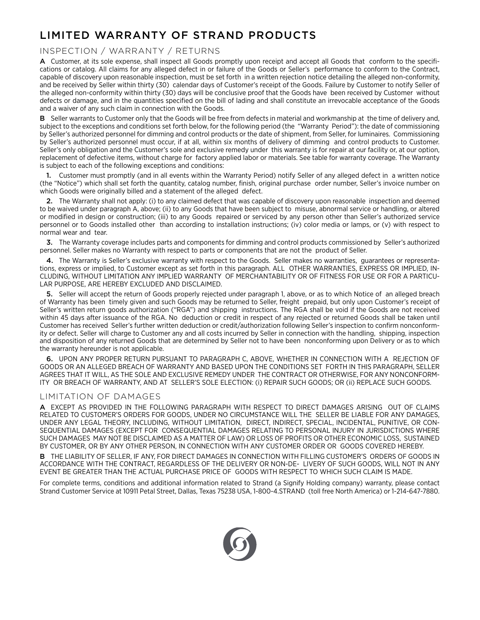## LIMITED WARRANTY OF STRAND PRODUCTS

## INSPECTION / WARRANTY / RETURNS

A Customer, at its sole expense, shall inspect all Goods promptly upon receipt and accept all Goods that conform to the specifications or catalog. All claims for any alleged defect in or failure of the Goods or Seller's performance to conform to the Contract, capable of discovery upon reasonable inspection, must be set forth in a written rejection notice detailing the alleged non-conformity, and be received by Seller within thirty (30) calendar days of Customer's receipt of the Goods. Failure by Customer to notify Seller of the alleged non-conformity within thirty (30) days will be conclusive proof that the Goods have been received by Customer without defects or damage, and in the quantities specified on the bill of lading and shall constitute an irrevocable acceptance of the Goods and a waiver of any such claim in connection with the Goods.

B Seller warrants to Customer only that the Goods will be free from defects in material and workmanship at the time of delivery and, subject to the exceptions and conditions set forth below, for the following period (the "Warranty Period"): the date of commissioning by Seller's authorized personnel for dimming and control products or the date of shipment, from Seller, for luminaires. Commissioning by Seller's authorized personnel must occur, if at all, within six months of delivery of dimming and control products to Customer. Seller's only obligation and the Customer's sole and exclusive remedy under this warranty is for repair at our facility or, at our option, replacement of defective items, without charge for factory applied labor or materials. See table for warranty coverage. The Warranty is subject to each of the following exceptions and conditions:

1. Customer must promptly (and in all events within the Warranty Period) notify Seller of any alleged defect in a written notice (the "Notice") which shall set forth the quantity, catalog number, finish, original purchase order number, Seller's invoice number on which Goods were originally billed and a statement of the alleged defect.

2. The Warranty shall not apply: (i) to any claimed defect that was capable of discovery upon reasonable inspection and deemed to be waived under paragraph A, above; (ii) to any Goods that have been subject to misuse, abnormal service or handling, or altered or modified in design or construction; (iii) to any Goods repaired or serviced by any person other than Seller's authorized service personnel or to Goods installed other than according to installation instructions; (iv) color media or lamps, or (v) with respect to normal wear and tear.

3. The Warranty coverage includes parts and components for dimming and control products commissioned by Seller's authorized personnel. Seller makes no Warranty with respect to parts or components that are not the product of Seller.

4. The Warranty is Seller's exclusive warranty with respect to the Goods. Seller makes no warranties, guarantees or representations, express or implied, to Customer except as set forth in this paragraph. ALL OTHER WARRANTIES, EXPRESS OR IMPLIED, IN-CLUDING, WITHOUT LIMITATION ANY IMPLIED WARRANTY OF MERCHANTABILITY OR OF FITNESS FOR USE OR FOR A PARTICU-LAR PURPOSE, ARE HEREBY EXCLUDED AND DISCLAIMED.

5. Seller will accept the return of Goods properly rejected under paragraph 1, above, or as to which Notice of an alleged breach of Warranty has been timely given and such Goods may be returned to Seller, freight prepaid, but only upon Customer's receipt of Seller's written return goods authorization ("RGA") and shipping instructions. The RGA shall be void if the Goods are not received within 45 days after issuance of the RGA. No deduction or credit in respect of any rejected or returned Goods shall be taken until Customer has received Seller's further written deduction or credit/authorization following Seller's inspection to confirm nonconformity or defect. Seller will charge to Customer any and all costs incurred by Seller in connection with the handling, shipping, inspection and disposition of any returned Goods that are determined by Seller not to have been nonconforming upon Delivery or as to which the warranty hereunder is not applicable.

6. UPON ANY PROPER RETURN PURSUANT TO PARAGRAPH C, ABOVE, WHETHER IN CONNECTION WITH A REJECTION OF GOODS OR AN ALLEGED BREACH OF WARRANTY AND BASED UPON THE CONDITIONS SET FORTH IN THIS PARAGRAPH, SELLER AGREES THAT IT WILL, AS THE SOLE AND EXCLUSIVE REMEDY UNDER THE CONTRACT OR OTHERWISE, FOR ANY NONCONFORM-ITY OR BREACH OF WARRANTY, AND AT SELLER'S SOLE ELECTION: (i) REPAIR SUCH GOODS; OR (ii) REPLACE SUCH GOODS.

## LIMITATION OF DAMAGES

A EXCEPT AS PROVIDED IN THE FOLLOWING PARAGRAPH WITH RESPECT TO DIRECT DAMAGES ARISING OUT OF CLAIMS RELATED TO CUSTOMER'S ORDERS FOR GOODS, UNDER NO CIRCUMSTANCE WILL THE SELLER BE LIABLE FOR ANY DAMAGES, UNDER ANY LEGAL THEORY, INCLUDING, WITHOUT LIMITATION, DIRECT, INDIRECT, SPECIAL, INCIDENTAL, PUNITIVE, OR CON-SEQUENTIAL DAMAGES (EXCEPT FOR CONSEQUENTIAL DAMAGES RELATING TO PERSONAL INJURY IN JURISDICTIONS WHERE SUCH DAMAGES MAY NOT BE DISCLAIMED AS A MATTER OF LAW) OR LOSS OF PROFITS OR OTHER ECONOMIC LOSS, SUSTAINED BY CUSTOMER, OR BY ANY OTHER PERSON, IN CONNECTION WITH ANY CUSTOMER ORDER OR GOODS COVERED HEREBY.

B THE LIABILITY OF SELLER, IF ANY, FOR DIRECT DAMAGES IN CONNECTION WITH FILLING CUSTOMER'S ORDERS OF GOODS IN ACCORDANCE WITH THE CONTRACT, REGARDLESS OF THE DELIVERY OR NON-DE- LIVERY OF SUCH GOODS, WILL NOT IN ANY EVENT BE GREATER THAN THE ACTUAL PURCHASE PRICE OF GOODS WITH RESPECT TO WHICH SUCH CLAIM IS MADE.

For complete terms, conditions and additional information related to Strand (a Signify Holding company) warranty, please contact Strand Customer Service at 10911 Petal Street, Dallas, Texas 75238 USA, 1-800-4.STRAND (toll free North America) or 1-214-647-7880.